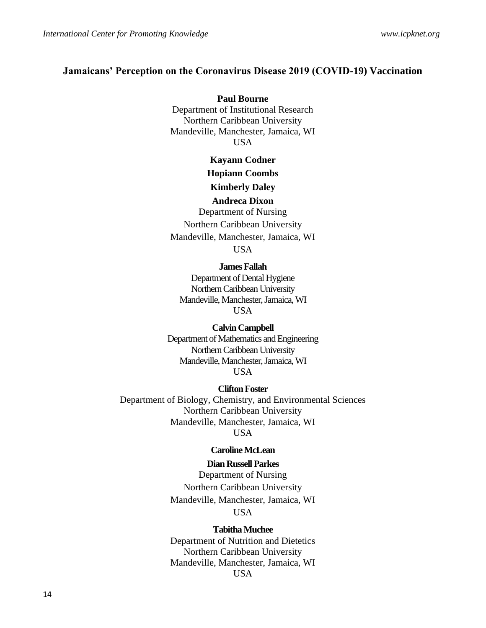## **Jamaicans' Perception on the Coronavirus Disease 2019 (COVID-19) Vaccination**

**Paul Bourne** Department of Institutional Research Northern Caribbean University Mandeville, Manchester, Jamaica, WI USA

**Kayann Codner**

**Hopiann Coombs**

**Kimberly Daley**

### **Andreca Dixon**

Department of Nursing Northern Caribbean University Mandeville, Manchester, Jamaica, WI **USA** 

**James Fallah**

Department of Dental Hygiene Northern Caribbean University Mandeville, Manchester, Jamaica, WI USA

**Calvin Campbell**

Department of Mathematics and Engineering Northern Caribbean University Mandeville, Manchester, Jamaica, WI **USA** 

### **Clifton Foster**

Department of Biology, Chemistry, and Environmental Sciences Northern Caribbean University Mandeville, Manchester, Jamaica, WI USA

## **Caroline McLean**

## **Dian Russell Parkes**

Department of Nursing Northern Caribbean University Mandeville, Manchester, Jamaica, WI **USA** 

#### **Tabitha Muchee**

Department of Nutrition and Dietetics Northern Caribbean University Mandeville, Manchester, Jamaica, WI USA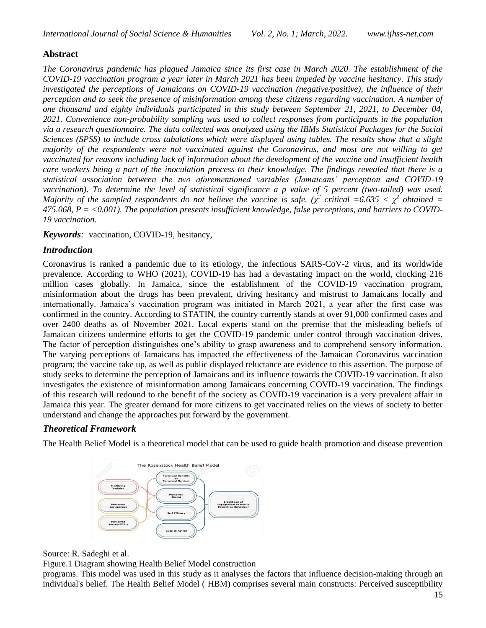# **Abstract**

*The Coronavirus pandemic has plagued Jamaica since its first case in March 2020. The establishment of the COVID-19 vaccination program a year later in March 2021 has been impeded by vaccine hesitancy. This study investigated the perceptions of Jamaicans on COVID-19 vaccination (negative/positive), the influence of their perception and to seek the presence of misinformation among these citizens regarding vaccination. A number of one thousand and eighty individuals participated in this study between September 21, 2021, to December 04, 2021. Convenience non-probability sampling was used to collect responses from participants in the population via a research questionnaire. The data collected was analyzed using the IBMs Statistical Packages for the Social Sciences (SPSS) to include cross tabulations which were displayed using tables. The results show that a slight majority of the respondents were not vaccinated against the Coronavirus, and most are not willing to get vaccinated for reasons including lack of information about the development of the vaccine and insufficient health care workers being a part of the inoculation process to their knowledge. The findings revealed that there is a statistical association between the two aforementioned variables (Jamaicans' perception and COVID-19 vaccination*). To determine the level of statistical significance a p value of 5 percent (two-tailed) was used. *Majority of the sampled respondents do not believe the vaccine is safe.* ( $\chi^2$  critical =6.635 <  $\chi^2$  obtained = *475.068, P = <0.001). The population presents insufficient knowledge, false perceptions, and barriers to COVID-19 vaccination.* 

*Keywords:* vaccination, COVID-19, hesitancy,

# *Introduction*

Coronavirus is ranked a pandemic due to its etiology, the infectious SARS-CoV-2 virus, and its worldwide prevalence. According to WHO (2021), COVID-19 has had a devastating impact on the world, clocking 216 million cases globally. In Jamaica, since the establishment of the COVID-19 vaccination program, misinformation about the drugs has been prevalent, driving hesitancy and mistrust to Jamaicans locally and internationally. Jamaica's vaccination program was initiated in March 2021, a year after the first case was confirmed in the country. According to STATIN, the country currently stands at over 91,000 confirmed cases and over 2400 deaths as of November 2021. Local experts stand on the premise that the misleading beliefs of Jamaican citizens undermine efforts to get the COVID-19 pandemic under control through vaccination drives. The factor of perception distinguishes one's ability to grasp awareness and to comprehend sensory information. The varying perceptions of Jamaicans has impacted the effectiveness of the Jamaican Coronavirus vaccination program; the vaccine take up, as well as public displayed reluctance are evidence to this assertion. The purpose of study seeks to determine the perception of Jamaicans and its influence towards the COVID-19 vaccination. It also investigates the existence of misinformation among Jamaicans concerning COVID-19 vaccination. The findings of this research will redound to the benefit of the society as COVID-19 vaccination is a very prevalent affair in Jamaica this year. The greater demand for more citizens to get vaccinated relies on the views of society to better understand and change the approaches put forward by the government.

# *Theoretical Framework*

The Health Belief Model is a theoretical model that can be used to guide health promotion and disease prevention



## Source: R. Sadeghi et al.

Figure.1 Diagram showing Health Belief Model construction

programs. This model was used in this study as it analyses the factors that influence decision-making through an individual's belief. The Health Belief Model ( HBM) comprises several main constructs: Perceived susceptibility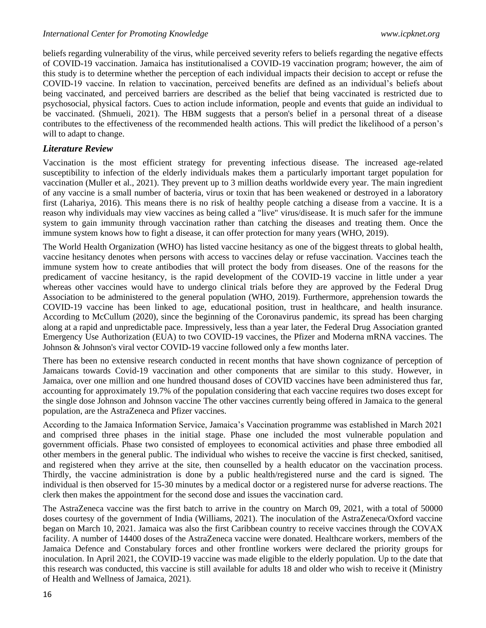beliefs regarding vulnerability of the virus, while perceived severity refers to beliefs regarding the negative effects of COVID-19 vaccination. Jamaica has institutionalised a COVID-19 vaccination program; however, the aim of this study is to determine whether the perception of each individual impacts their decision to accept or refuse the COVID-19 vaccine. In relation to vaccination, perceived benefits are defined as an individual's beliefs about being vaccinated, and perceived barriers are described as the belief that being vaccinated is restricted due to psychosocial, physical factors. Cues to action include information, people and events that guide an individual to be vaccinated. (Shmueli, 2021). The HBM suggests that a person's belief in a personal threat of a disease contributes to the effectiveness of the recommended health actions. This will predict the likelihood of a person's will to adapt to change.

## *Literature Review*

Vaccination is the most efficient strategy for preventing infectious disease. The increased age-related susceptibility to infection of the elderly individuals makes them a particularly important target population for vaccination (Muller et al., 2021). They prevent up to 3 million deaths worldwide every year. The main ingredient of any vaccine is a small number of bacteria, virus or toxin that has been weakened or destroyed in a laboratory first (Lahariya, 2016). This means there is no risk of healthy people catching a disease from a vaccine. It is a reason why individuals may view vaccines as being called a "live" virus/disease. It is much safer for the immune system to gain immunity through vaccination rather than catching the diseases and treating them. Once the immune system knows how to fight a disease, it can offer protection for many years (WHO, 2019).

The World Health Organization (WHO) has listed vaccine hesitancy as one of the biggest threats to global health, vaccine hesitancy denotes when persons with access to vaccines delay or refuse vaccination. Vaccines teach the immune system how to create antibodies that will protect the body from diseases. One of the reasons for the predicament of vaccine hesitancy, is the rapid development of the COVID-19 vaccine in little under a year whereas other vaccines would have to undergo clinical trials before they are approved by the Federal Drug Association to be administered to the general population (WHO, 2019). Furthermore, apprehension towards the COVID-19 vaccine has been linked to age, educational position, trust in healthcare, and health insurance. According to McCullum (2020), since the beginning of the Coronavirus pandemic, its spread has been charging along at a rapid and unpredictable pace. Impressively, less than a year later, the Federal Drug Association granted Emergency Use Authorization (EUA) to two COVID-19 vaccines, the [Pfizer](https://www.fda.gov/news-events/press-announcements/fda-takes-key-action-fight-against-covid-19-issuing-emergency-use-authorization-first-covid-19) and [Moderna](https://www.fda.gov/news-events/press-announcements/fda-takes-additional-action-fight-against-covid-19-issuing-emergency-use-authorization-second-covid) mRNA vaccines. The Johnson & Johnson's [viral vector COVID-19 vaccine](https://www.houstonmethodist.org/blog/articles/2021/mar/viral-vector-covid-19-vaccines-4-things-to-know/) followed only a few months later.

There has been no extensive research conducted in recent months that have shown cognizance of perception of Jamaicans towards Covid-19 vaccination and other components that are similar to this study. However, in Jamaica, over one million and one hundred thousand doses of COVID vaccines have been administered thus far, accounting for approximately 19.7% of the population considering that each vaccine requires two doses except for the single dose Johnson and Johnson vaccine The other vaccines currently being offered in Jamaica to the general population, are the AstraZeneca and Pfizer vaccines.

According to the Jamaica Information Service, Jamaica's Vaccination programme was established in March 2021 and comprised three phases in the initial stage. Phase one included the most vulnerable population and government officials. Phase two consisted of employees to economical activities and phase three embodied all other members in the general public. The individual who wishes to receive the vaccine is first checked, sanitised, and registered when they arrive at the site, then counselled by a health educator on the vaccination process. Thirdly, the vaccine administration is done by a public health/registered nurse and the card is signed. The individual is then observed for 15-30 minutes by a medical doctor or a registered nurse for adverse reactions. The clerk then makes the appointment for the second dose and issues the vaccination card.

The AstraZeneca vaccine was the first batch to arrive in the country on March 09, 2021, with a total of 50000 doses courtesy of the government of India (Williams, 2021). The inoculation of the AstraZeneca/Oxford vaccine began on March 10, 2021. Jamaica was also the first Caribbean country to receive vaccines through the COVAX facility. A number of 14400 doses of the AstraZeneca vaccine were donated. Healthcare workers, members of the Jamaica Defence and Constabulary forces and other frontline workers were declared the priority groups for inoculation. In April 2021, the COVID-19 vaccine was made eligible to the elderly population. Up to the date that this research was conducted, this vaccine is still available for adults 18 and older who wish to receive it (Ministry of Health and Wellness of Jamaica, 2021).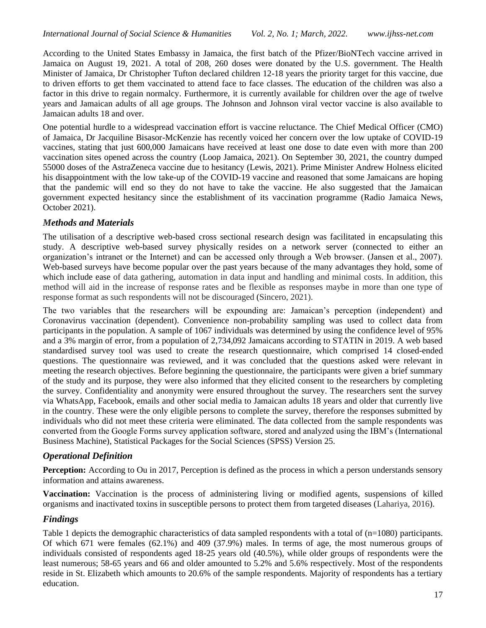According to the United States Embassy in Jamaica, the first batch of the Pfizer/BioNTech vaccine arrived in Jamaica on August 19, 2021. A total of 208, 260 doses were donated by the U.S. government. The Health Minister of Jamaica, Dr Christopher Tufton declared children 12-18 years the priority target for this vaccine, due to driven efforts to get them vaccinated to attend face to face classes. The education of the children was also a factor in this drive to regain normalcy. Furthermore, it is currently available for children over the age of twelve years and Jamaican adults of all age groups. The Johnson and Johnson viral vector vaccine is also available to Jamaican adults 18 and over.

One potential hurdle to a widespread vaccination effort is vaccine reluctance. The Chief Medical Officer (CMO) of Jamaica, Dr Jacquiline Bisasor-McKenzie has recently voiced her concern over the low uptake of COVID-19 vaccines, stating that just 600,000 Jamaicans have received at least one dose to date even with more than 200 vaccination sites opened across the country (Loop Jamaica, 2021). On September 30, 2021, the country dumped 55000 doses of the AstraZeneca vaccine due to hesitancy (Lewis, 2021). Prime Minister Andrew Holness elicited his disappointment with the low take-up of the COVID-19 vaccine and reasoned that some Jamaicans are hoping that the pandemic will end so they do not have to take the vaccine. He also suggested that the Jamaican government expected hesitancy since the establishment of its vaccination programme (Radio Jamaica News, October 2021).

# *Methods and Materials*

The utilisation of a descriptive web-based cross sectional research design was facilitated in encapsulating this study. A descriptive web-based survey physically resides on a network server (connected to either an organization's intranet or the Internet) and can be accessed only through a Web browser. (Jansen et al., 2007). Web-based surveys have become popular over the past years because of the many advantages they hold, some of which include ease of data gathering, automation in data input and handling and minimal costs. In addition, this method will aid in the increase of response rates and be flexible as responses maybe in more than one type of response format as such respondents will not be discouraged [\(Sincero,](https://explorable.com/users/sarah) 2021).

The two variables that the researchers will be expounding are: Jamaican's perception (independent) and Coronavirus vaccination (dependent). Convenience non-probability sampling was used to collect data from participants in the population. A sample of 1067 individuals was determined by using the confidence level of 95% and a 3% margin of error, from a population of 2,734,092 Jamaicans according to STATIN in 2019. A web based standardised survey tool was used to create the research questionnaire, which comprised 14 closed-ended questions. The questionnaire was reviewed, and it was concluded that the questions asked were relevant in meeting the research objectives. Before beginning the questionnaire, the participants were given a brief summary of the study and its purpose, they were also informed that they elicited consent to the researchers by completing the survey. Confidentiality and anonymity were ensured throughout the survey. The researchers sent the survey via WhatsApp, Facebook, emails and other social media to Jamaican adults 18 years and older that currently live in the country. These were the only eligible persons to complete the survey, therefore the responses submitted by individuals who did not meet these criteria were eliminated. The data collected from the sample respondents was converted from the Google Forms survey application software, stored and analyzed using the IBM's (International Business Machine), Statistical Packages for the Social Sciences (SPSS) Version 25.

# *Operational Definition*

**Perception:** According to Ou in 2017, Perception is defined as the process in which a person understands sensory information and attains awareness.

**Vaccination:** Vaccination is the process of administering living or modified agents, suspensions of killed organisms and inactivated toxins in susceptible persons to protect them from targeted diseases (Lahariya, 2016).

# *Findings*

Table 1 depicts the demographic characteristics of data sampled respondents with a total of (n=1080) participants. Of which 671 were females (62.1%) and 409 (37.9%) males. In terms of age, the most numerous groups of individuals consisted of respondents aged 18-25 years old (40.5%), while older groups of respondents were the least numerous; 58-65 years and 66 and older amounted to 5.2% and 5.6% respectively. Most of the respondents reside in St. Elizabeth which amounts to 20.6% of the sample respondents. Majority of respondents has a tertiary education.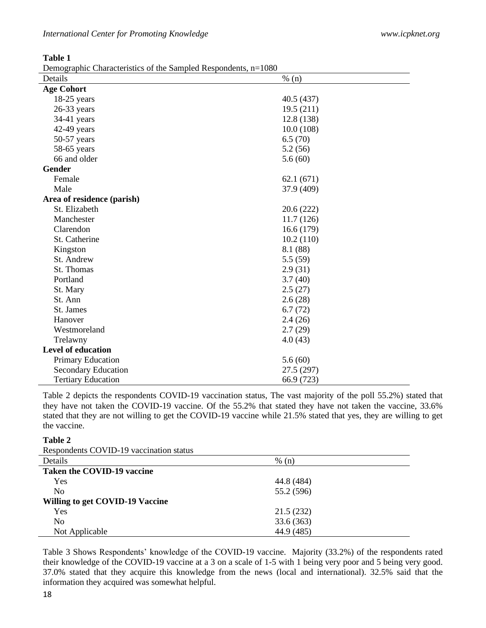| <b>International Center for Promoting Knowledge</b> |  |
|-----------------------------------------------------|--|
|-----------------------------------------------------|--|

**Table 1**

Demographic Characteristics of the Sampled Respondents, n=1080

| o<br>Details               | $% (n)$    |
|----------------------------|------------|
| <b>Age Cohort</b>          |            |
| $18-25$ years              | 40.5 (437) |
| $26-33$ years              | 19.5(211)  |
| $34-41$ years              | 12.8 (138) |
| 42-49 years                | 10.0(108)  |
| 50-57 years                | 6.5(70)    |
| $58-65$ years              | 5.2(56)    |
| 66 and older               | 5.6(60)    |
| <b>Gender</b>              |            |
| Female                     | 62.1(671)  |
| Male                       | 37.9 (409) |
| Area of residence (parish) |            |
| St. Elizabeth              | 20.6(222)  |
| Manchester                 | 11.7(126)  |
| Clarendon                  | 16.6(179)  |
| St. Catherine              | 10.2(110)  |
| Kingston                   | 8.1 (88)   |
| St. Andrew                 | 5.5(59)    |
| St. Thomas                 | 2.9(31)    |
| Portland                   | 3.7(40)    |
| St. Mary                   | 2.5(27)    |
| St. Ann                    | 2.6(28)    |
| St. James                  | 6.7(72)    |
| Hanover                    | 2.4(26)    |
| Westmoreland               | 2.7(29)    |
| Trelawny                   | 4.0(43)    |
| <b>Level of education</b>  |            |
| <b>Primary Education</b>   | 5.6(60)    |
| Secondary Education        | 27.5 (297) |
| <b>Tertiary Education</b>  | 66.9 (723) |

Table 2 depicts the respondents COVID-19 vaccination status, The vast majority of the poll 55.2%) stated that they have not taken the COVID-19 vaccine. Of the 55.2% that stated they have not taken the vaccine, 33.6% stated that they are not willing to get the COVID-19 vaccine while 21.5% stated that yes, they are willing to get the vaccine.

## **Table 2**

| Respondents COVID-19 vaccination status |  |  |  |  |
|-----------------------------------------|--|--|--|--|
|-----------------------------------------|--|--|--|--|

| Respondence CO TID 17 Taeemanon status |            |  |
|----------------------------------------|------------|--|
| Details                                | % (n)      |  |
| Taken the COVID-19 vaccine             |            |  |
| Yes                                    | 44.8 (484) |  |
| N <sub>0</sub>                         | 55.2 (596) |  |
| Willing to get COVID-19 Vaccine        |            |  |
| <b>Yes</b>                             | 21.5(232)  |  |
| No                                     | 33.6(363)  |  |
| Not Applicable                         | 44.9 (485) |  |

Table 3 Shows Respondents' knowledge of the COVID-19 vaccine. Majority (33.2%) of the respondents rated their knowledge of the COVID-19 vaccine at a 3 on a scale of 1-5 with 1 being very poor and 5 being very good. 37.0% stated that they acquire this knowledge from the news (local and international). 32.5% said that the information they acquired was somewhat helpful.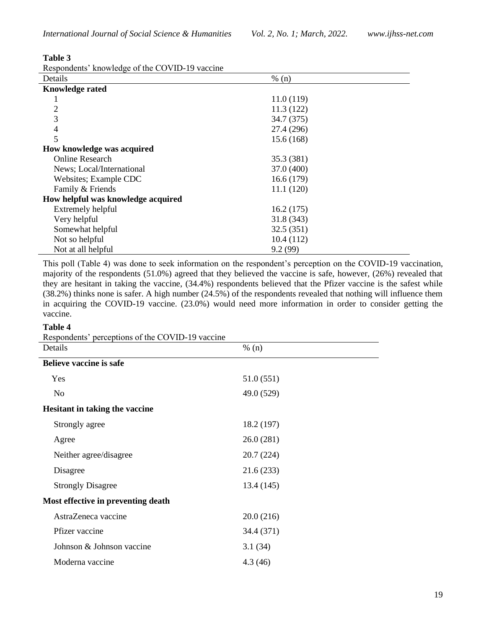## **Table 3**

| Respondents' knowledge of the COVID-19 vaccine |  |  |  |  |
|------------------------------------------------|--|--|--|--|
|------------------------------------------------|--|--|--|--|

| Details                            | % (n)      |  |
|------------------------------------|------------|--|
| <b>Knowledge rated</b>             |            |  |
|                                    | 11.0(119)  |  |
| 2                                  | 11.3(122)  |  |
| 3                                  | 34.7 (375) |  |
| $\overline{\mathcal{A}}$           | 27.4 (296) |  |
| 5                                  | 15.6(168)  |  |
| How knowledge was acquired         |            |  |
| <b>Online Research</b>             | 35.3 (381) |  |
| News; Local/International          | 37.0 (400) |  |
| Websites; Example CDC              | 16.6(179)  |  |
| Family & Friends                   | 11.1(120)  |  |
| How helpful was knowledge acquired |            |  |
| Extremely helpful                  | 16.2(175)  |  |
| Very helpful                       | 31.8 (343) |  |
| Somewhat helpful                   | 32.5(351)  |  |
| Not so helpful                     | 10.4(112)  |  |
| Not at all helpful                 | 9.2(99)    |  |

This poll (Table 4) was done to seek information on the respondent's perception on the COVID-19 vaccination, majority of the respondents (51.0%) agreed that they believed the vaccine is safe, however, (26%) revealed that they are hesitant in taking the vaccine, (34.4%) respondents believed that the Pfizer vaccine is the safest while  $(38.2%)$  thinks none is safer. A high number  $(24.5%)$  of the respondents revealed that nothing will influence them in acquiring the COVID-19 vaccine. (23.0%) would need more information in order to consider getting the vaccine.

### **Table 4**

Respondents' perceptions of the COVID-19 vaccine

| Details                               | % (n)      |  |
|---------------------------------------|------------|--|
| <b>Believe vaccine is safe</b>        |            |  |
| Yes                                   | 51.0(551)  |  |
| N <sub>o</sub>                        | 49.0 (529) |  |
| <b>Hesitant in taking the vaccine</b> |            |  |
| Strongly agree                        | 18.2 (197) |  |
| Agree                                 | 26.0(281)  |  |
| Neither agree/disagree                | 20.7(224)  |  |
| Disagree                              | 21.6(233)  |  |
| <b>Strongly Disagree</b>              | 13.4 (145) |  |
| Most effective in preventing death    |            |  |
| AstraZeneca vaccine                   | 20.0(216)  |  |
| Pfizer vaccine                        | 34.4 (371) |  |
| Johnson & Johnson vaccine             | 3.1(34)    |  |
| Moderna vaccine                       | 4.3(46)    |  |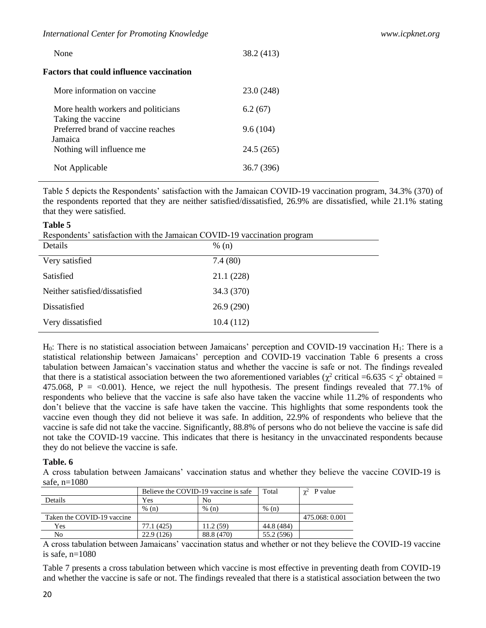| None                                                       | 38.2 (413) |
|------------------------------------------------------------|------------|
| Factors that could influence vaccination                   |            |
| More information on vaccine                                | 23.0 (248) |
| More health workers and politicians<br>Taking the vaccine. | 6.2(67)    |
| Preferred brand of vaccine reaches<br>Jamaica              | 9.6(104)   |
| Nothing will influence me                                  | 24.5 (265) |
| Not Applicable                                             | 36.7 (396) |

Table 5 depicts the Respondents' satisfaction with the Jamaican COVID-19 vaccination program, 34.3% (370) of the respondents reported that they are neither satisfied/dissatisfied, 26.9% are dissatisfied, while 21.1% stating that they were satisfied.

#### **Table 5**

|  |  |  |  | Respondents' satisfaction with the Jamaican COVID-19 vaccination program |
|--|--|--|--|--------------------------------------------------------------------------|
|--|--|--|--|--------------------------------------------------------------------------|

| Details                        | % (n)      |
|--------------------------------|------------|
| Very satisfied                 | 7.4(80)    |
| Satisfied                      | 21.1(228)  |
| Neither satisfied/dissatisfied | 34.3 (370) |
| Dissatisfied                   | 26.9(290)  |
| Very dissatisfied              | 10.4(112)  |

H<sub>0</sub>: There is no statistical association between Jamaicans' perception and COVID-19 vaccination H<sub>1</sub>: There is a statistical relationship between Jamaicans' perception and COVID-19 vaccination Table 6 presents a cross tabulation between Jamaican's vaccination status and whether the vaccine is safe or not. The findings revealed that there is a statistical association between the two aforementioned variables ( $\chi^2$  critical =6.635 <  $\chi^2$  obtained = 475.068, P =  $\langle 0.001 \rangle$ . Hence, we reject the null hypothesis. The present findings revealed that 77.1% of respondents who believe that the vaccine is safe also have taken the vaccine while 11.2% of respondents who don't believe that the vaccine is safe have taken the vaccine. This highlights that some respondents took the vaccine even though they did not believe it was safe. In addition, 22.9% of respondents who believe that the vaccine is safe did not take the vaccine. Significantly, 88.8% of persons who do not believe the vaccine is safe did not take the COVID-19 vaccine. This indicates that there is hesitancy in the unvaccinated respondents because they do not believe the vaccine is safe.

#### **Table. 6**

A cross tabulation between Jamaicans' vaccination status and whether they believe the vaccine COVID-19 is safe, n=1080

|                            | Believe the COVID-19 vaccine is safe |            | Total      | $y^2$ P value  |
|----------------------------|--------------------------------------|------------|------------|----------------|
| Details                    | Yes<br>No                            |            |            |                |
|                            | % (n)                                | % (n)      | % (n)      |                |
| Taken the COVID-19 vaccine |                                      |            |            | 475.068: 0.001 |
| Yes                        | 77.1 (425)                           | 11.2(59)   | 44.8 (484) |                |
| No                         | 22.9 (126)                           | 88.8 (470) | 55.2 (596) |                |

A cross tabulation between Jamaicans' vaccination status and whether or not they believe the COVID-19 vaccine is safe, n=1080

Table 7 presents a cross tabulation between which vaccine is most effective in preventing death from COVID-19 and whether the vaccine is safe or not. The findings revealed that there is a statistical association between the two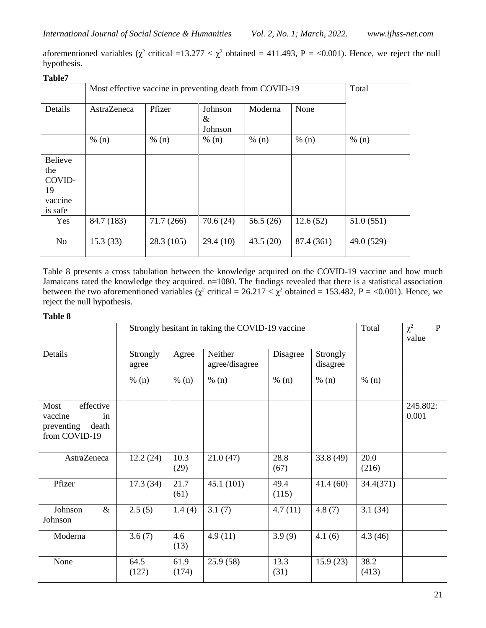|                                                             | Most effective vaccine in preventing death from COVID-19                   |           |          |          |            | Total      |  |
|-------------------------------------------------------------|----------------------------------------------------------------------------|-----------|----------|----------|------------|------------|--|
| Details                                                     | Pfizer<br>Moderna<br>None<br>Johnson<br><b>AstraZeneca</b><br>&<br>Johnson |           |          |          |            |            |  |
|                                                             | % (n)                                                                      | % (n)     | % (n)    | % (n)    | % (n)      | % (n)      |  |
| <b>Believe</b><br>the<br>COVID-<br>19<br>vaccine<br>is safe |                                                                            |           |          |          |            |            |  |
| Yes                                                         | 84.7 (183)                                                                 | 71.7(266) | 70.6(24) | 56.5(26) | 12.6(52)   | 51.0 (551) |  |
| <b>No</b>                                                   | 15.3(33)                                                                   | 28.3(105) | 29.4(10) | 43.5(20) | 87.4 (361) | 49.0 (529) |  |

**Table7**

Table 8 presents a cross tabulation between the knowledge acquired on the COVID-19 vaccine and how much Jamaicans rated the knowledge they acquired. n=1080. The findings revealed that there is a statistical association between the two aforementioned variables ( $\chi^2$  critical = 26.217 <  $\chi^2$  obtained = 153.482, P = <0.001). Hence, we reject the null hypothesis.

## **Table 8**

|                                                                            | Strongly hesitant in taking the COVID-19 vaccine |               | Total                     | $\chi^2$<br>$\mathbf{P}$<br>value |                      |               |                   |
|----------------------------------------------------------------------------|--------------------------------------------------|---------------|---------------------------|-----------------------------------|----------------------|---------------|-------------------|
| Details                                                                    | Strongly<br>agree                                | Agree         | Neither<br>agree/disagree | Disagree                          | Strongly<br>disagree |               |                   |
|                                                                            | % (n)                                            | % (n)         | % (n)                     | % (n)                             | % (n)                | % (n)         |                   |
| Most<br>effective<br>vaccine<br>in<br>death<br>preventing<br>from COVID-19 |                                                  |               |                           |                                   |                      |               | 245.802:<br>0.001 |
| AstraZeneca                                                                | 12.2(24)                                         | 10.3<br>(29)  | 21.0(47)                  | 28.8<br>(67)                      | 33.8(49)             | 20.0<br>(216) |                   |
| Pfizer                                                                     | 17.3(34)                                         | 21.7<br>(61)  | 45.1(101)                 | 49.4<br>(115)                     | 41.4(60)             | 34.4(371)     |                   |
| $\&$<br>Johnson<br>Johnson                                                 | 2.5(5)                                           | 1.4(4)        | 3.1(7)                    | 4.7(11)                           | 4.8(7)               | 3.1(34)       |                   |
| Moderna                                                                    | 3.6(7)                                           | 4.6<br>(13)   | 4.9(11)                   | 3.9(9)                            | 4.1(6)               | 4.3(46)       |                   |
| None                                                                       | 64.5<br>(127)                                    | 61.9<br>(174) | 25.9(58)                  | 13.3<br>(31)                      | 15.9(23)             | 38.2<br>(413) |                   |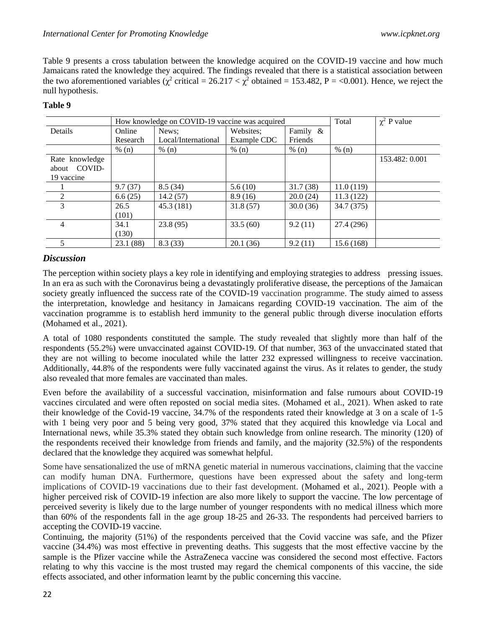Table 9 presents a cross tabulation between the knowledge acquired on the COVID-19 vaccine and how much Jamaicans rated the knowledge they acquired. The findings revealed that there is a statistical association between the two aforementioned variables ( $\chi^2$  critical = 26.217 <  $\chi^2$  obtained = 153.482, P = <0.001). Hence, we reject the null hypothesis.

|                |          | How knowledge on COVID-19 vaccine was acquired | Total       | $\chi^2$ P value |            |                |
|----------------|----------|------------------------------------------------|-------------|------------------|------------|----------------|
| Details        | Online   | News:                                          | Websites;   | Family &         |            |                |
|                | Research | Local/International                            | Example CDC | Friends          |            |                |
|                | % (n)    | % (n)                                          | % (n)       | % (n)            | % (n)      |                |
| Rate knowledge |          |                                                |             |                  |            | 153.482: 0.001 |
| about COVID-   |          |                                                |             |                  |            |                |
| 19 vaccine     |          |                                                |             |                  |            |                |
|                | 9.7(37)  | 8.5(34)                                        | 5.6(10)     | 31.7(38)         | 11.0(119)  |                |
|                | 6.6(25)  | 14.2(57)                                       | 8.9(16)     | 20.0(24)         | 11.3(122)  |                |
| 3              | 26.5     | 45.3 (181)                                     | 31.8(57)    | 30.0(36)         | 34.7 (375) |                |
|                | (101)    |                                                |             |                  |            |                |
| 4              | 34.1     | 23.8(95)                                       | 33.5(60)    | 9.2(11)          | 27.4 (296) |                |
|                | (130)    |                                                |             |                  |            |                |
|                | 23.1(88) | 8.3(33)                                        | 20.1(36)    | 9.2(11)          | 15.6(168)  |                |

## **Table 9**

# *Discussion*

The perception within society plays a key role in identifying and employing strategies to address pressing issues. In an era as such with the Coronavirus being a devastatingly proliferative disease, the perceptions of the Jamaican society greatly influenced the success rate of the COVID-19 vaccination programme. The study aimed to assess the interpretation, knowledge and hesitancy in Jamaicans regarding COVID-19 vaccination. The aim of the vaccination programme is to establish herd immunity to the general public through diverse inoculation efforts (Mohamed et al., 2021).

A total of 1080 respondents constituted the sample. The study revealed that slightly more than half of the respondents (55.2%) were unvaccinated against COVID-19. Of that number, 363 of the unvaccinated stated that they are not willing to become inoculated while the latter 232 expressed willingness to receive vaccination. Additionally, 44.8% of the respondents were fully vaccinated against the virus. As it relates to gender, the study also revealed that more females are vaccinated than males.

Even before the availability of a successful vaccination, misinformation and false rumours about COVID-19 vaccines circulated and were often reposted on social media sites. (Mohamed et al., 2021). When asked to rate their knowledge of the Covid-19 vaccine, 34.7% of the respondents rated their knowledge at 3 on a scale of 1-5 with 1 being very poor and 5 being very good, 37% stated that they acquired this knowledge via Local and International news, while 35.3% stated they obtain such knowledge from online research. The minority (120) of the respondents received their knowledge from friends and family, and the majority (32.5%) of the respondents declared that the knowledge they acquired was somewhat helpful.

Some have sensationalized the use of mRNA genetic material in numerous vaccinations, claiming that the vaccine can modify human DNA. Furthermore, questions have been expressed about the safety and long-term implications of COVID-19 vaccinations due to their fast development. (Mohamed et al., 2021). People with a higher perceived risk of COVID-19 infection are also more likely to support the vaccine. The low percentage of perceived severity is likely due to the large number of younger respondents with no medical illness which more than 60% of the respondents fall in the age group 18-25 and 26-33. The respondents had perceived barriers to accepting the COVID-19 vaccine.

Continuing, the majority (51%) of the respondents perceived that the Covid vaccine was safe, and the Pfizer vaccine (34.4%) was most effective in preventing deaths. This suggests that the most effective vaccine by the sample is the Pfizer vaccine while the AstraZeneca vaccine was considered the second most effective. Factors relating to why this vaccine is the most trusted may regard the chemical components of this vaccine, the side effects associated, and other information learnt by the public concerning this vaccine.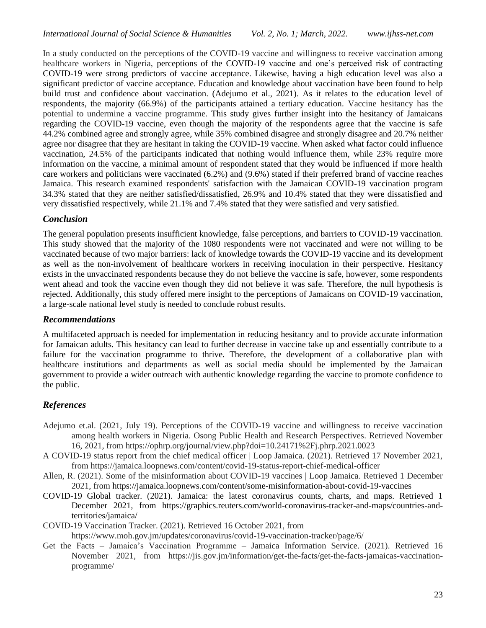In a study conducted on the perceptions of the COVID-19 vaccine and willingness to receive vaccination among healthcare workers in Nigeria, perceptions of the COVID-19 vaccine and one's perceived risk of contracting COVID-19 were strong predictors of vaccine acceptance. Likewise, having a high education level was also a significant predictor of vaccine acceptance. Education and knowledge about vaccination have been found to help build trust and confidence about vaccination. (Adejumo et al., 2021). As it relates to the education level of respondents, the majority (66.9%) of the participants attained a tertiary education. Vaccine hesitancy has the potential to undermine a vaccine programme. This study gives further insight into the hesitancy of Jamaicans regarding the COVID-19 vaccine, even though the majority of the respondents agree that the vaccine is safe 44.2% combined agree and strongly agree, while 35% combined disagree and strongly disagree and 20.7% neither agree nor disagree that they are hesitant in taking the COVID-19 vaccine. When asked what factor could influence vaccination, 24.5% of the participants indicated that nothing would influence them, while 23% require more information on the vaccine, a minimal amount of respondent stated that they would be influenced if more health care workers and politicians were vaccinated (6.2%) and (9.6%) stated if their preferred brand of vaccine reaches Jamaica. This research examined respondents' satisfaction with the Jamaican COVID-19 vaccination program 34.3% stated that they are neither satisfied/dissatisfied, 26.9% and 10.4% stated that they were dissatisfied and very dissatisfied respectively, while 21.1% and 7.4% stated that they were satisfied and very satisfied.

### *Conclusion*

The general population presents insufficient knowledge, false perceptions, and barriers to COVID-19 vaccination. This study showed that the majority of the 1080 respondents were not vaccinated and were not willing to be vaccinated because of two major barriers: lack of knowledge towards the COVID-19 vaccine and its development as well as the non-involvement of healthcare workers in receiving inoculation in their perspective. Hesitancy exists in the unvaccinated respondents because they do not believe the vaccine is safe, however, some respondents went ahead and took the vaccine even though they did not believe it was safe. Therefore, the null hypothesis is rejected. Additionally, this study offered mere insight to the perceptions of Jamaicans on COVID-19 vaccination, a large-scale national level study is needed to conclude robust results.

### *Recommendations*

A multifaceted approach is needed for implementation in reducing hesitancy and to provide accurate information for Jamaican adults. This hesitancy can lead to further decrease in vaccine take up and essentially contribute to a failure for the vaccination programme to thrive. Therefore, the development of a collaborative plan with healthcare institutions and departments as well as social media should be implemented by the Jamaican government to provide a wider outreach with authentic knowledge regarding the vaccine to promote confidence to the public.

## *References*

- Adejumo et.al. (2021, July 19). Perceptions of the COVID-19 vaccine and willingness to receive vaccination among health workers in Nigeria. Osong Public Health and Research Perspectives. Retrieved November 16, 2021, from https://ophrp.org/journal/view.php?doi=10.24171%2Fj.phrp.2021.0023
- A COVID-19 status report from the chief medical officer | Loop Jamaica. (2021). Retrieved 17 November 2021, from https://jamaica.loopnews.com/content/covid-19-status-report-chief-medical-officer
- Allen, R. (2021). Some of the misinformation about COVID-19 vaccines | Loop Jamaica. Retrieved 1 December 2021, from<https://jamaica.loopnews.com/content/some-misinformation-about-covid-19-vaccines>
- COVID-19 Global tracker. (2021). Jamaica: the latest coronavirus counts, charts, and maps. Retrieved 1 December 2021, from https://graphics.reuters.com/world-coronavirus-tracker-and-maps/countries-andterritories/jamaica/
- COVID-19 Vaccination Tracker. (2021). Retrieved 16 October 2021, from

https://www.moh.gov.jm/updates/coronavirus/covid-19-vaccination-tracker/page/6/

Get the Facts – Jamaica's Vaccination Programme – Jamaica Information Service. (2021). Retrieved 16 November 2021, from https://jis.gov.jm/information/get-the-facts/get-the-facts-jamaicas-vaccinationprogramme/